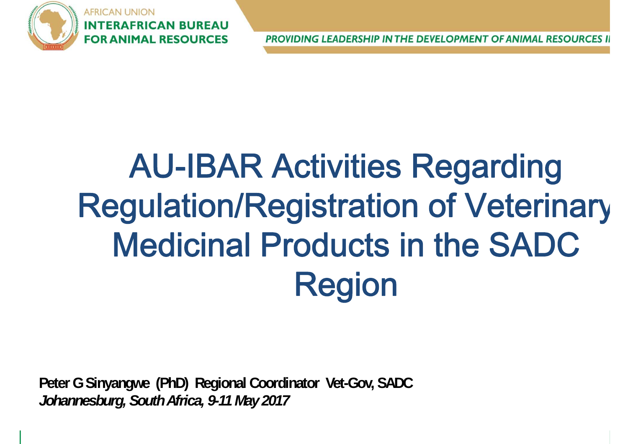

**ERAFRICAN BUREAU FOR ANIMAL RESOURCES** 

PROVIDING LEADERSHIP IN THE DEVELOPMENT OF ANIMAL RESOURCES II

# AU-IBAR Activities Regarding Regulation/Registration of Veterinary Medicinal Products in the SADC Region

**Peter G Sinyangwe (PhD) Regional Coordinator Vet-Gov, SADC**  *Johannesburg, South Africa, 9-11 May 2017*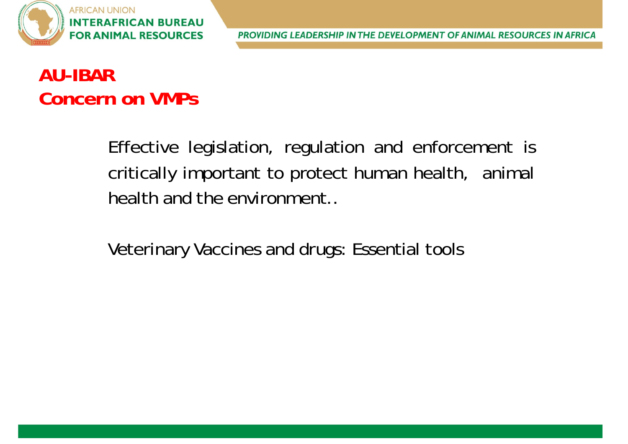

## **AU-IBARConcern on VMPs**

Effective legislation, regulation and enforcement is critically important to protect human health, animal health and the environment..

Veterinary Vaccines and drugs: Essential tools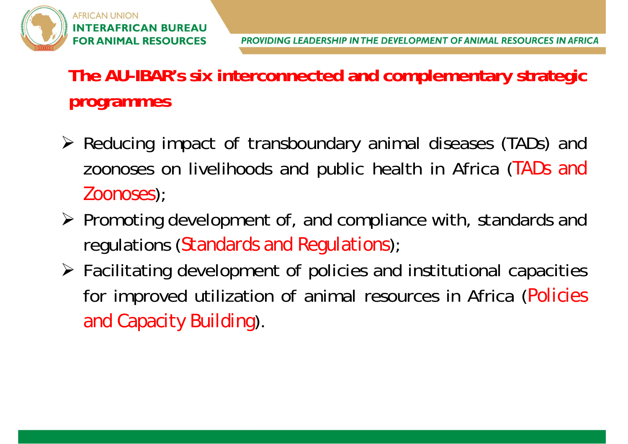

#### **The AU-IBAR's six interconnected and complementary strategic programmes**

- Reducing impact of transboundary animal diseases (TADs) and zoonoses on livelihoods and public health in Africa (*TADs and Zoonoses*);
- $\triangleright$  Promoting development of, and compliance with, standards and regulations (*Standards and Regulations*);
- Facilitating development of policies and institutional capacities for improved utilization of animal resources in Africa (*Policies and Capacity Building*).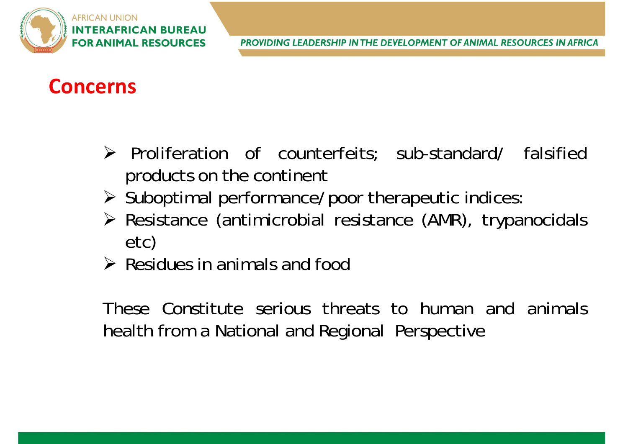

#### **Concerns**

- > Proliferation of counterfeits; sub-standard/ falsified products on the continent
- $\triangleright$  Suboptimal performance/poor therapeutic indices:
- Resistance (antimicrobial resistance (AMR), trypanocidals etc)
- $\triangleright$  Residues in animals and food

These Constitute serious threats to human and animalshealth from <sup>a</sup> National and Regional Perspective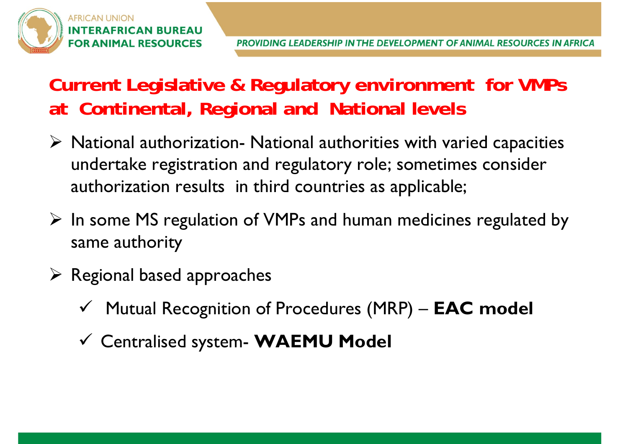## **Current Legislative & Regulatory environment for VMPs at Continental, Regional and National levels**

- $\triangleright$  National authorization- National authorities with varied capacities undertake registration and regulatory role; sometimes consider authorization results in third countries as applicable;
- $\triangleright$  In some MS regulation of VMPs and human medicines regulated by same authority
- $\triangleright$  Regional based approaches
	- Mutual Recognition of Procedures (MRP) **EAC model**
	- Centralised system- **WAEMU Model**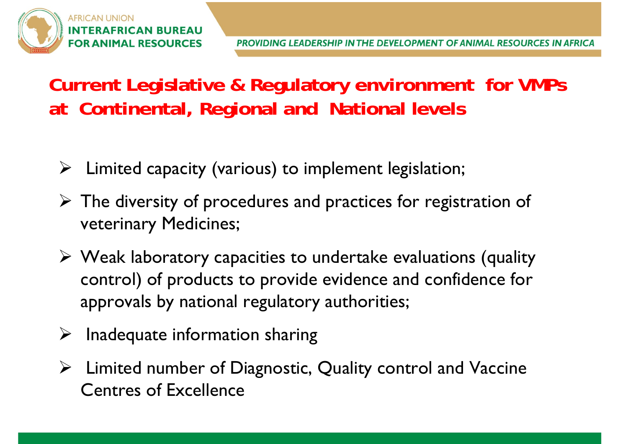#### **Current Legislative & Regulatory environment for VMPs at Continental, Regional and National levels**

- Limited capacity (various) to implement legislation;
- $\triangleright$  The diversity of procedures and practices for registration of veterinary Medicines;
- Weak laboratory capacities to undertake evaluations (quality control) of products to provide evidence and confidence for approvals by national regulatory authorities;
- $\triangleright$  Inadequate information sharing
- Limited number of Diagnostic, Quality control and Vaccine Centres of Excellence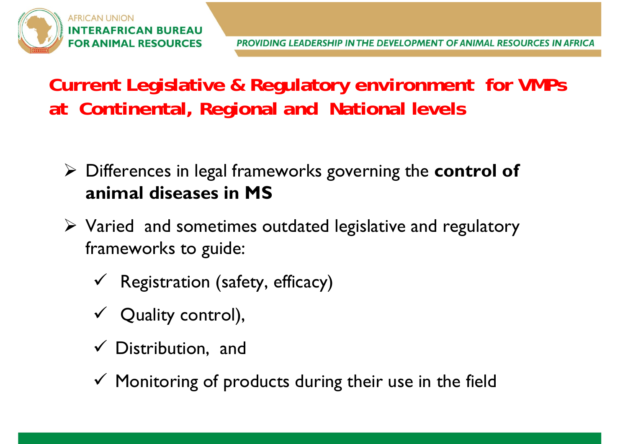#### **Current Legislative & Regulatory environment for VMPs at Continental, Regional and National levels**

- Differences in legal frameworks governing the **control of animal diseases in MS**
- $\triangleright$  Varied and sometimes outdated legislative and regulatory frameworks to guide:
	- $\checkmark$  Registration (safety, efficacy)
	- $\checkmark$  Quality control),
	- $\checkmark$  Distribution, and
	- $\checkmark$  Monitoring of products during their use in the field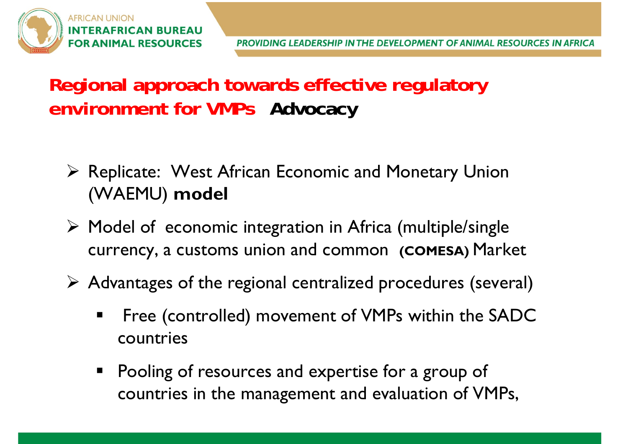#### **Regional approach towards effective regulatory environment for VMPs Advocacy**

- Replicate: West African Economic and Monetary Union (WAEMU) **model**
- Model of economic integration in Africa (multiple/single currency, a customs union and common **(COMESA)** Market
- Advantages of the regional centralized procedures (several)
	- $\qquad \qquad \blacksquare$  Free (controlled) movement of VMPs within the SADC countries
	- **Pooling of resources and expertise for a group of** countries in the management and evaluation of VMPs,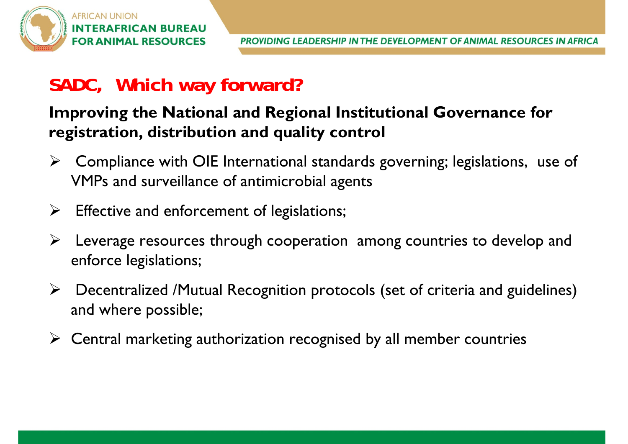#### **SADC, Which way forward?**

#### **Improving the National and Regional Institutional Governance for registration, distribution and quality control**

- ➤ Compliance with OIE International standards governing; legislations, use of VMPs and surveillance of antimicrobial agents
- $\blacktriangleright$ Effective and enforcement of legislations;
- ➤ Leverage resources through cooperation among countries to develop and enforce legislations;
- $\blacktriangleright$  Decentralized /Mutual Recognition protocols (set of criteria and guidelines) and where possible;
- Central marketing authorization recognised by all member countries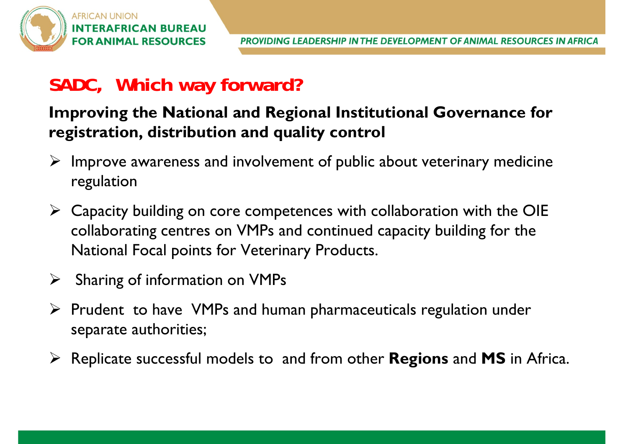#### **SADC, Which way forward?**

#### **Improving the National and Regional Institutional Governance for registration, distribution and quality control**

- $\triangleright$  Improve awareness and involvement of public about veterinary medicine regulation
- $\triangleright$  Capacity building on core competences with collaboration with the OIE collaborating centres on VMPs and continued capacity building for the National Focal points for Veterinary Products.
- $\sum_{i=1}^{n}$ Sharing of information on VMPs
- $\triangleright$  Prudent to have VMPs and human pharmaceuticals regulation under separate authorities;
- Replicate successful models to and from other **Regions** and **MS** in Africa.